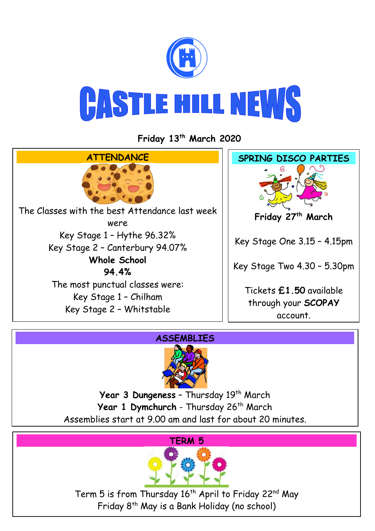

**Friday 13th March 2020**



## **ASSEMBLIES**



Year 3 Dungeness - Thursday 19<sup>th</sup> March Year 1 Dymchurch - Thursday 26<sup>th</sup> March Assemblies start at 9.00 am and last for about 20 minutes.





Term 5 is from Thursday 16<sup>th</sup> April to Friday 22<sup>nd</sup> May Friday 8th May is a Bank Holiday (no school)